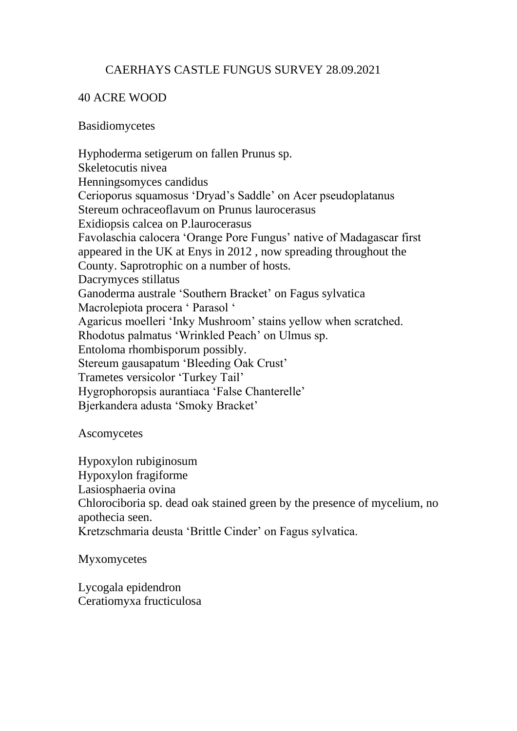# CAERHAYS CASTLE FUNGUS SURVEY 28.09.2021

## 40 ACRE WOOD

#### Basidiomycetes

Hyphoderma setigerum on fallen Prunus sp. Skeletocutis nivea Henningsomyces candidus Cerioporus squamosus 'Dryad's Saddle' on Acer pseudoplatanus Stereum ochraceoflavum on Prunus laurocerasus Exidiopsis calcea on P.laurocerasus Favolaschia calocera 'Orange Pore Fungus' native of Madagascar first appeared in the UK at Enys in 2012 , now spreading throughout the County. Saprotrophic on a number of hosts. Dacrymyces stillatus Ganoderma australe 'Southern Bracket' on Fagus sylvatica Macrolepiota procera ' Parasol ' Agaricus moelleri 'Inky Mushroom' stains yellow when scratched. Rhodotus palmatus 'Wrinkled Peach' on Ulmus sp. Entoloma rhombisporum possibly. Stereum gausapatum 'Bleeding Oak Crust' Trametes versicolor 'Turkey Tail' Hygrophoropsis aurantiaca 'False Chanterelle' Bjerkandera adusta 'Smoky Bracket'

Ascomycetes

Hypoxylon rubiginosum Hypoxylon fragiforme Lasiosphaeria ovina Chlorociboria sp. dead oak stained green by the presence of mycelium, no apothecia seen. Kretzschmaria deusta 'Brittle Cinder' on Fagus sylvatica.

Myxomycetes

Lycogala epidendron Ceratiomyxa fructiculosa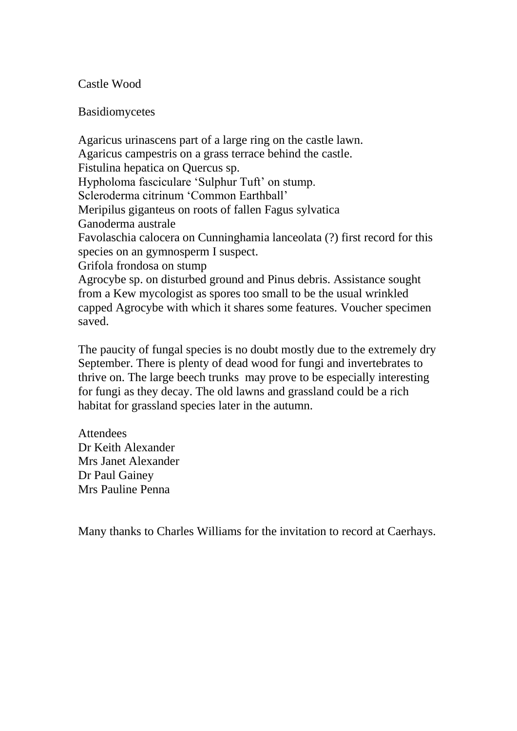### Castle Wood

#### Basidiomycetes

Agaricus urinascens part of a large ring on the castle lawn. Agaricus campestris on a grass terrace behind the castle. Fistulina hepatica on Quercus sp. Hypholoma fasciculare 'Sulphur Tuft' on stump. Scleroderma citrinum 'Common Earthball' Meripilus giganteus on roots of fallen Fagus sylvatica Ganoderma australe Favolaschia calocera on Cunninghamia lanceolata (?) first record for this species on an gymnosperm I suspect. Grifola frondosa on stump Agrocybe sp. on disturbed ground and Pinus debris. Assistance sought from a Kew mycologist as spores too small to be the usual wrinkled capped Agrocybe with which it shares some features. Voucher specimen

The paucity of fungal species is no doubt mostly due to the extremely dry September. There is plenty of dead wood for fungi and invertebrates to thrive on. The large beech trunks may prove to be especially interesting for fungi as they decay. The old lawns and grassland could be a rich habitat for grassland species later in the autumn.

**Attendees** Dr Keith Alexander Mrs Janet Alexander Dr Paul Gainey Mrs Pauline Penna

saved.

Many thanks to Charles Williams for the invitation to record at Caerhays.